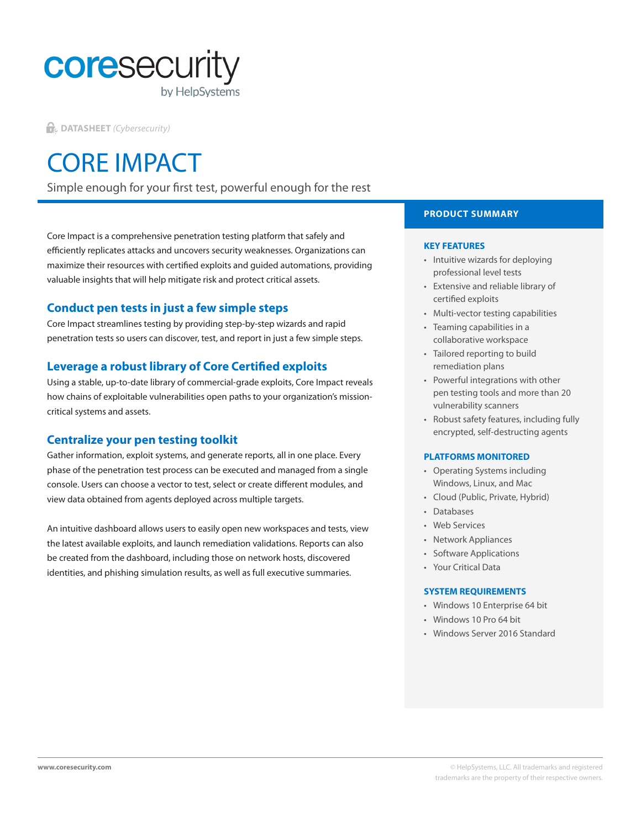

**DATASHEET** *(Cybersecurity)*

# CORE IMPACT

Simple enough for your first test, powerful enough for the rest

Core Impact is a comprehensive penetration testing platform that safely and efficiently replicates attacks and uncovers security weaknesses. Organizations can maximize their resources with certified exploits and guided automations, providing valuable insights that will help mitigate risk and protect critical assets.

# **Conduct pen tests in just a few simple steps**

Core Impact streamlines testing by providing step-by-step wizards and rapid penetration tests so users can discover, test, and report in just a few simple steps.

# **Leverage a robust library of Core Certified exploits**

Using a stable, up-to-date library of commercial-grade exploits, Core Impact reveals how chains of exploitable vulnerabilities open paths to your organization's missioncritical systems and assets.

# **Centralize your pen testing toolkit**

Gather information, exploit systems, and generate reports, all in one place. Every phase of the penetration test process can be executed and managed from a single console. Users can choose a vector to test, select or create different modules, and view data obtained from agents deployed across multiple targets.

An intuitive dashboard allows users to easily open new workspaces and tests, view the latest available exploits, and launch remediation validations. Reports can also be created from the dashboard, including those on network hosts, discovered identities, and phishing simulation results, as well as full executive summaries.

# **PRODUCT SUMMARY**

### **KEY FEATURES**

- Intuitive wizards for deploying professional level tests
- Extensive and reliable library of certified exploits
- Multi-vector testing capabilities
- Teaming capabilities in a collaborative workspace
- Tailored reporting to build remediation plans
- Powerful integrations with other pen testing tools and more than 20 vulnerability scanners
- Robust safety features, including fully encrypted, self-destructing agents

### **PLATFORMS MONITORED**

- Operating Systems including Windows, Linux, and Mac
- Cloud (Public, Private, Hybrid)
- Databases
- Web Services
- Network Appliances
- Software Applications
- Your Critical Data

#### **SYSTEM REQUIREMENTS**

- Windows 10 Enterprise 64 bit
- Windows 10 Pro 64 bit
- Windows Server 2016 Standard